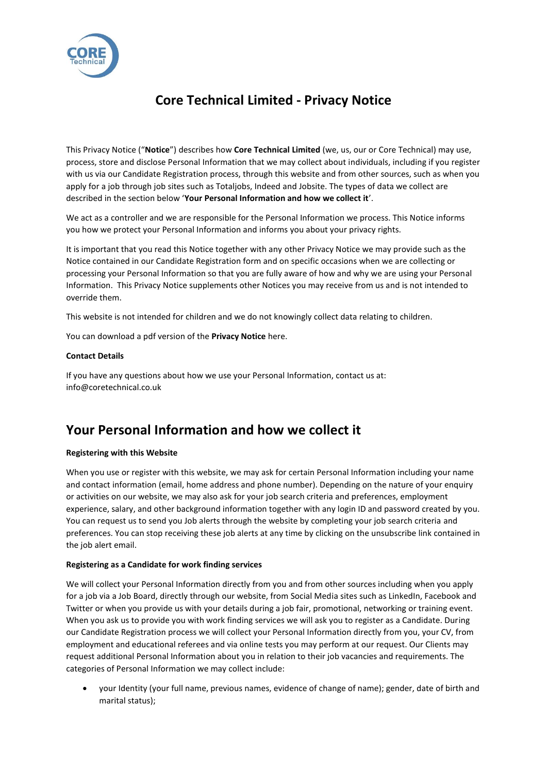

# **Core Technical Limited - Privacy Notice**

This Privacy Notice ("**Notice**") describes how **Core Technical Limited** (we, us, our or Core Technical) may use, process, store and disclose Personal Information that we may collect about individuals, including if you register with us via our Candidate Registration process, through this website and from other sources, such as when you apply for a job through job sites such as Totaljobs, Indeed and Jobsite. The types of data we collect are described in the section below '**Your Personal Information and how we collect it**'.

We act as a controller and we are responsible for the Personal Information we process. This Notice informs you how we protect your Personal Information and informs you about your privacy rights.

It is important that you read this Notice together with any other Privacy Notice we may provide such as the Notice contained in our Candidate Registration form and on specific occasions when we are collecting or processing your Personal Information so that you are fully aware of how and why we are using your Personal Information. This Privacy Notice supplements other Notices you may receive from us and is not intended to override them.

This website is not intended for children and we do not knowingly collect data relating to children.

You can download a pdf version of the **Privacy Notice** here.

#### **Contact Details**

If you have any questions about how we use your Personal Information, contact us at: info@coretechnical.co.uk

### **Your Personal Information and how we collect it**

#### **Registering with this Website**

When you use or register with this website, we may ask for certain Personal Information including your name and contact information (email, home address and phone number). Depending on the nature of your enquiry or activities on our website, we may also ask for your job search criteria and preferences, employment experience, salary, and other background information together with any login ID and password created by you. You can request us to send you Job alerts through the website by completing your job search criteria and preferences. You can stop receiving these job alerts at any time by clicking on the unsubscribe link contained in the job alert email.

#### **Registering as a Candidate for work finding services**

We will collect your Personal Information directly from you and from other sources including when you apply for a job via a Job Board, directly through our website, from Social Media sites such as LinkedIn, Facebook and Twitter or when you provide us with your details during a job fair, promotional, networking or training event. When you ask us to provide you with work finding services we will ask you to register as a Candidate. During our Candidate Registration process we will collect your Personal Information directly from you, your CV, from employment and educational referees and via online tests you may perform at our request. Our Clients may request additional Personal Information about you in relation to their job vacancies and requirements. The categories of Personal Information we may collect include:

• your Identity (your full name, previous names, evidence of change of name); gender, date of birth and marital status);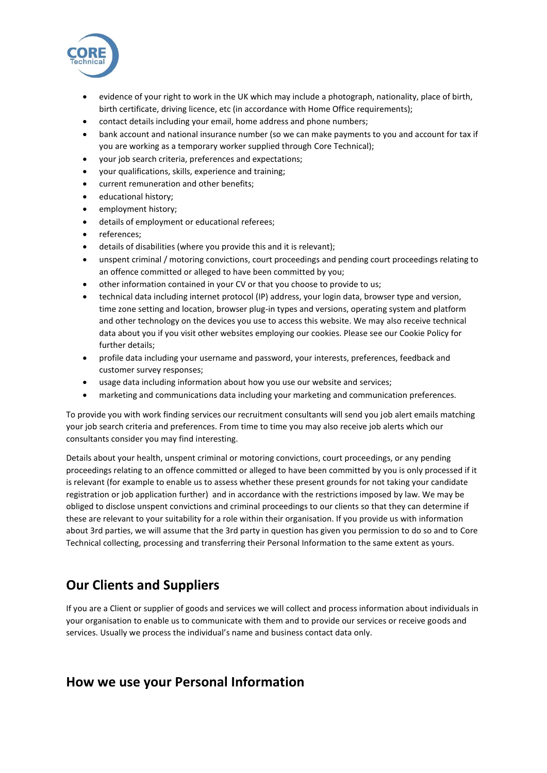

- evidence of your right to work in the UK which may include a photograph, nationality, place of birth, birth certificate, driving licence, etc (in accordance with Home Office requirements);
- contact details including your email, home address and phone numbers;
- bank account and national insurance number (so we can make payments to you and account for tax if you are working as a temporary worker supplied through Core Technical);
- your job search criteria, preferences and expectations;
- your qualifications, skills, experience and training;
- current remuneration and other benefits;
- educational history;
- employment history;
- details of employment or educational referees;
- references;
- details of disabilities (where you provide this and it is relevant);
- unspent criminal / motoring convictions, court proceedings and pending court proceedings relating to an offence committed or alleged to have been committed by you;
- other information contained in your CV or that you choose to provide to us;
- technical data including internet protocol (IP) address, your login data, browser type and version, time zone setting and location, browser plug-in types and versions, operating system and platform and other technology on the devices you use to access this website. We may also receive technical data about you if you visit other websites employing our cookies. Please see our Cookie Policy for further details;
- profile data including your username and password, your interests, preferences, feedback and customer survey responses;
- usage data including information about how you use our website and services;
- marketing and communications data including your marketing and communication preferences.

To provide you with work finding services our recruitment consultants will send you job alert emails matching your job search criteria and preferences. From time to time you may also receive job alerts which our consultants consider you may find interesting.

Details about your health, unspent criminal or motoring convictions, court proceedings, or any pending proceedings relating to an offence committed or alleged to have been committed by you is only processed if it is relevant (for example to enable us to assess whether these present grounds for not taking your candidate registration or job application further) and in accordance with the restrictions imposed by law. We may be obliged to disclose unspent convictions and criminal proceedings to our clients so that they can determine if these are relevant to your suitability for a role within their organisation. If you provide us with information about 3rd parties, we will assume that the 3rd party in question has given you permission to do so and to Core Technical collecting, processing and transferring their Personal Information to the same extent as yours.

## **Our Clients and Suppliers**

If you are a Client or supplier of goods and services we will collect and process information about individuals in your organisation to enable us to communicate with them and to provide our services or receive goods and services. Usually we process the individual's name and business contact data only.

#### **How we use your Personal Information**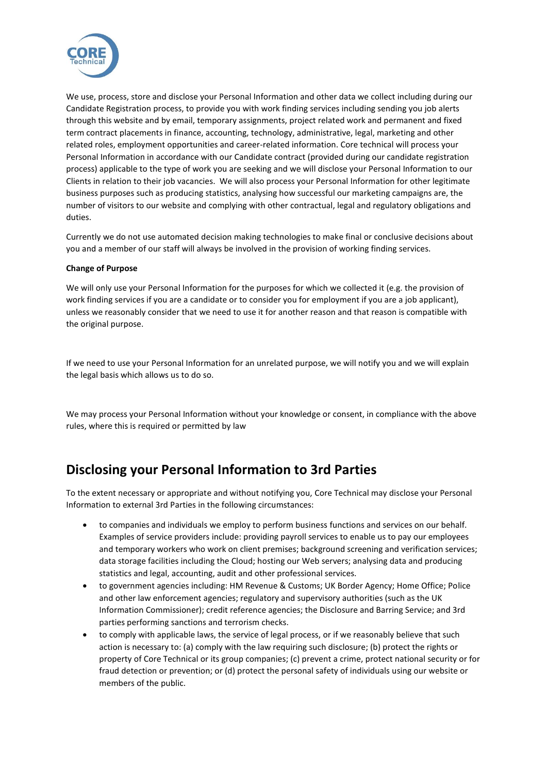

We use, process, store and disclose your Personal Information and other data we collect including during our Candidate Registration process, to provide you with work finding services including sending you job alerts through this website and by email, temporary assignments, project related work and permanent and fixed term contract placements in finance, accounting, technology, administrative, legal, marketing and other related roles, employment opportunities and career-related information. Core technical will process your Personal Information in accordance with our Candidate contract (provided during our candidate registration process) applicable to the type of work you are seeking and we will disclose your Personal Information to our Clients in relation to their job vacancies. We will also process your Personal Information for other legitimate business purposes such as producing statistics, analysing how successful our marketing campaigns are, the number of visitors to our website and complying with other contractual, legal and regulatory obligations and duties.

Currently we do not use automated decision making technologies to make final or conclusive decisions about you and a member of our staff will always be involved in the provision of working finding services.

#### **Change of Purpose**

We will only use your Personal Information for the purposes for which we collected it (e.g. the provision of work finding services if you are a candidate or to consider you for employment if you are a job applicant), unless we reasonably consider that we need to use it for another reason and that reason is compatible with the original purpose.

If we need to use your Personal Information for an unrelated purpose, we will notify you and we will explain the legal basis which allows us to do so.

We may process your Personal Information without your knowledge or consent, in compliance with the above rules, where this is required or permitted by law

### **Disclosing your Personal Information to 3rd Parties**

To the extent necessary or appropriate and without notifying you, Core Technical may disclose your Personal Information to external 3rd Parties in the following circumstances:

- to companies and individuals we employ to perform business functions and services on our behalf. Examples of service providers include: providing payroll services to enable us to pay our employees and temporary workers who work on client premises; background screening and verification services; data storage facilities including the Cloud; hosting our Web servers; analysing data and producing statistics and legal, accounting, audit and other professional services.
- to government agencies including: HM Revenue & Customs; UK Border Agency; Home Office; Police and other law enforcement agencies; regulatory and supervisory authorities (such as the UK Information Commissioner); credit reference agencies; the Disclosure and Barring Service; and 3rd parties performing sanctions and terrorism checks.
- to comply with applicable laws, the service of legal process, or if we reasonably believe that such action is necessary to: (a) comply with the law requiring such disclosure; (b) protect the rights or property of Core Technical or its group companies; (c) prevent a crime, protect national security or for fraud detection or prevention; or (d) protect the personal safety of individuals using our website or members of the public.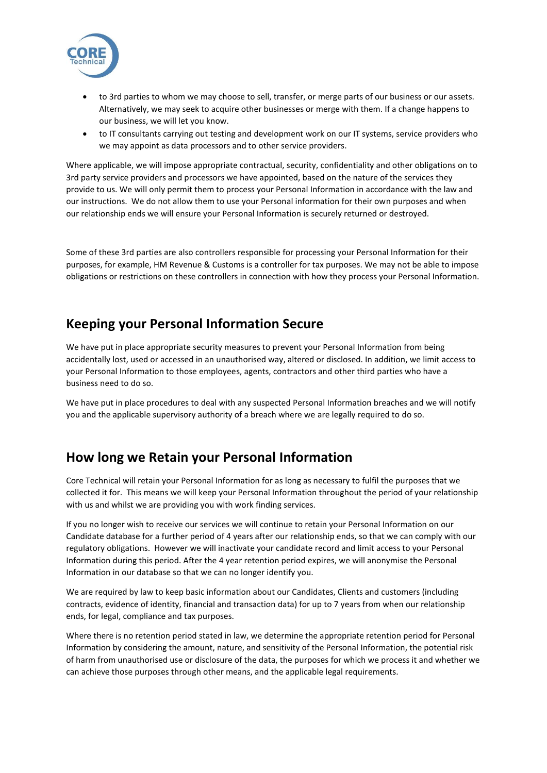

- to 3rd parties to whom we may choose to sell, transfer, or merge parts of our business or our assets. Alternatively, we may seek to acquire other businesses or merge with them. If a change happens to our business, we will let you know.
- to IT consultants carrying out testing and development work on our IT systems, service providers who we may appoint as data processors and to other service providers.

Where applicable, we will impose appropriate contractual, security, confidentiality and other obligations on to 3rd party service providers and processors we have appointed, based on the nature of the services they provide to us. We will only permit them to process your Personal Information in accordance with the law and our instructions. We do not allow them to use your Personal information for their own purposes and when our relationship ends we will ensure your Personal Information is securely returned or destroyed.

Some of these 3rd parties are also controllers responsible for processing your Personal Information for their purposes, for example, HM Revenue & Customs is a controller for tax purposes. We may not be able to impose obligations or restrictions on these controllers in connection with how they process your Personal Information.

### **Keeping your Personal Information Secure**

We have put in place appropriate security measures to prevent your Personal Information from being accidentally lost, used or accessed in an unauthorised way, altered or disclosed. In addition, we limit access to your Personal Information to those employees, agents, contractors and other third parties who have a business need to do so.

We have put in place procedures to deal with any suspected Personal Information breaches and we will notify you and the applicable supervisory authority of a breach where we are legally required to do so.

## **How long we Retain your Personal Information**

Core Technical will retain your Personal Information for as long as necessary to fulfil the purposes that we collected it for. This means we will keep your Personal Information throughout the period of your relationship with us and whilst we are providing you with work finding services.

If you no longer wish to receive our services we will continue to retain your Personal Information on our Candidate database for a further period of 4 years after our relationship ends, so that we can comply with our regulatory obligations. However we will inactivate your candidate record and limit access to your Personal Information during this period. After the 4 year retention period expires, we will anonymise the Personal Information in our database so that we can no longer identify you.

We are required by law to keep basic information about our Candidates, Clients and customers (including contracts, evidence of identity, financial and transaction data) for up to 7 years from when our relationship ends, for legal, compliance and tax purposes.

Where there is no retention period stated in law, we determine the appropriate retention period for Personal Information by considering the amount, nature, and sensitivity of the Personal Information, the potential risk of harm from unauthorised use or disclosure of the data, the purposes for which we process it and whether we can achieve those purposes through other means, and the applicable legal requirements.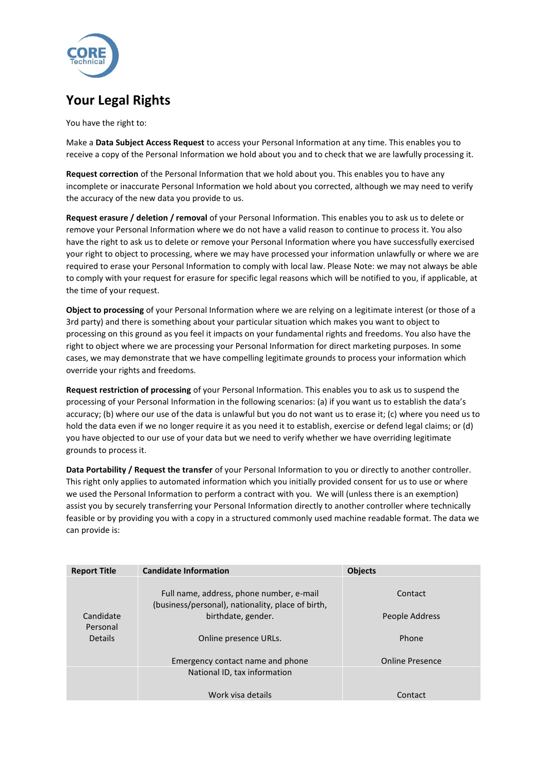

## **Your Legal Rights**

You have the right to:

Make a **Data Subject Access Request** to access your Personal Information at any time. This enables you to receive a copy of the Personal Information we hold about you and to check that we are lawfully processing it.

**Request correction** of the Personal Information that we hold about you. This enables you to have any incomplete or inaccurate Personal Information we hold about you corrected, although we may need to verify the accuracy of the new data you provide to us.

**Request erasure / deletion / removal** of your Personal Information. This enables you to ask us to delete or remove your Personal Information where we do not have a valid reason to continue to process it. You also have the right to ask us to delete or remove your Personal Information where you have successfully exercised your right to object to processing, where we may have processed your information unlawfully or where we are required to erase your Personal Information to comply with local law. Please Note: we may not always be able to comply with your request for erasure for specific legal reasons which will be notified to you, if applicable, at the time of your request.

**Object to processing** of your Personal Information where we are relying on a legitimate interest (or those of a 3rd party) and there is something about your particular situation which makes you want to object to processing on this ground as you feel it impacts on your fundamental rights and freedoms. You also have the right to object where we are processing your Personal Information for direct marketing purposes. In some cases, we may demonstrate that we have compelling legitimate grounds to process your information which override your rights and freedoms.

**Request restriction of processing** of your Personal Information. This enables you to ask us to suspend the processing of your Personal Information in the following scenarios: (a) if you want us to establish the data's accuracy; (b) where our use of the data is unlawful but you do not want us to erase it; (c) where you need us to hold the data even if we no longer require it as you need it to establish, exercise or defend legal claims; or (d) you have objected to our use of your data but we need to verify whether we have overriding legitimate grounds to process it.

**Data Portability / Request the transfer** of your Personal Information to you or directly to another controller. This right only applies to automated information which you initially provided consent for us to use or where we used the Personal Information to perform a contract with you. We will (unless there is an exemption) assist you by securely transferring your Personal Information directly to another controller where technically feasible or by providing you with a copy in a structured commonly used machine readable format. The data we can provide is:

| <b>Report Title</b>        | <b>Candidate Information</b>                                                                  | <b>Objects</b>         |
|----------------------------|-----------------------------------------------------------------------------------------------|------------------------|
|                            | Full name, address, phone number, e-mail<br>(business/personal), nationality, place of birth, | Contact                |
| Candidate                  | birthdate, gender.                                                                            | People Address         |
| Personal<br><b>Details</b> | Online presence URLs.                                                                         | Phone                  |
|                            | Emergency contact name and phone                                                              | <b>Online Presence</b> |
|                            | National ID, tax information                                                                  |                        |
|                            | Work visa details                                                                             | Contact                |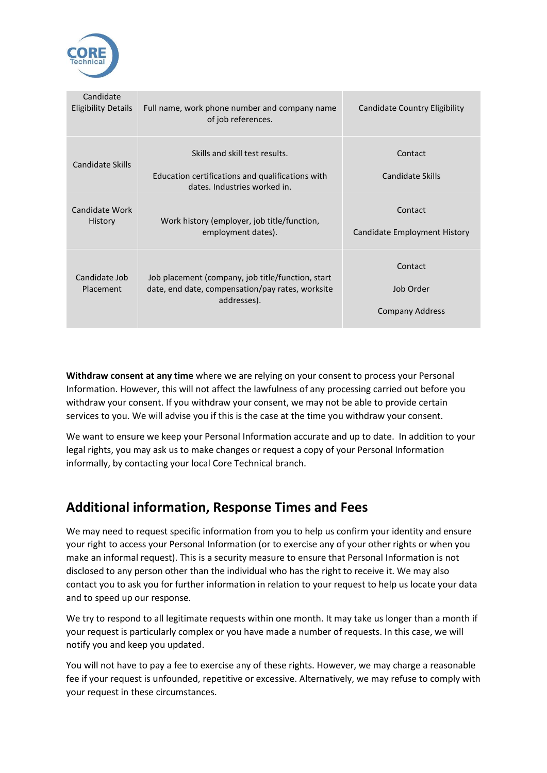

| Candidate<br><b>Eligibility Details</b> | Full name, work phone number and company name<br>of job references.                                                  | <b>Candidate Country Eligibility</b>           |
|-----------------------------------------|----------------------------------------------------------------------------------------------------------------------|------------------------------------------------|
| Candidate Skills                        | Skills and skill test results.<br>Education certifications and qualifications with<br>dates. Industries worked in.   | Contact<br>Candidate Skills                    |
| Candidate Work<br>History               | Work history (employer, job title/function,<br>employment dates).                                                    | Contact<br>Candidate Employment History        |
| Candidate Job<br><b>Placement</b>       | Job placement (company, job title/function, start<br>date, end date, compensation/pay rates, worksite<br>addresses). | Contact<br>Job Order<br><b>Company Address</b> |

**Withdraw consent at any time** where we are relying on your consent to process your Personal Information. However, this will not affect the lawfulness of any processing carried out before you withdraw your consent. If you withdraw your consent, we may not be able to provide certain services to you. We will advise you if this is the case at the time you withdraw your consent.

We want to ensure we keep your Personal Information accurate and up to date. In addition to your legal rights, you may ask us to make changes or request a copy of your Personal Information informally, by contacting your local Core Technical branch.

## **Additional information, Response Times and Fees**

We may need to request specific information from you to help us confirm your identity and ensure your right to access your Personal Information (or to exercise any of your other rights or when you make an informal request). This is a security measure to ensure that Personal Information is not disclosed to any person other than the individual who has the right to receive it. We may also contact you to ask you for further information in relation to your request to help us locate your data and to speed up our response.

We try to respond to all legitimate requests within one month. It may take us longer than a month if your request is particularly complex or you have made a number of requests. In this case, we will notify you and keep you updated.

You will not have to pay a fee to exercise any of these rights. However, we may charge a reasonable fee if your request is unfounded, repetitive or excessive. Alternatively, we may refuse to comply with your request in these circumstances.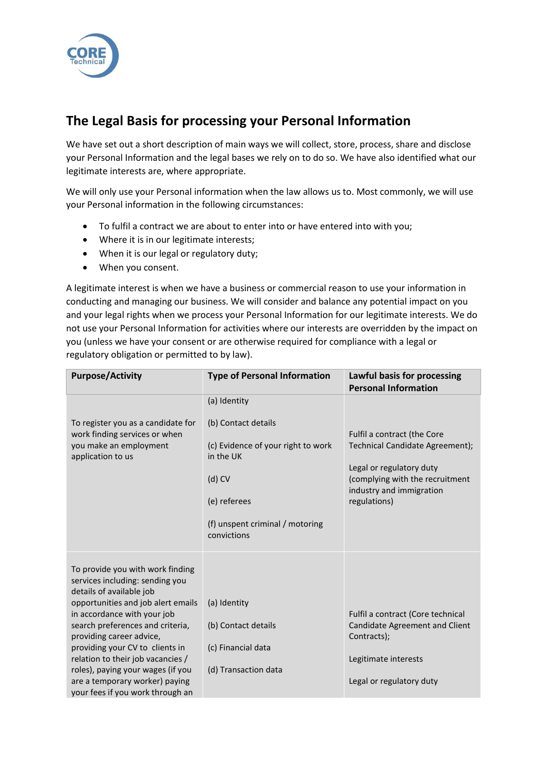

## **The Legal Basis for processing your Personal Information**

We have set out a short description of main ways we will collect, store, process, share and disclose your Personal Information and the legal bases we rely on to do so. We have also identified what our legitimate interests are, where appropriate.

We will only use your Personal information when the law allows us to. Most commonly, we will use your Personal information in the following circumstances:

- To fulfil a contract we are about to enter into or have entered into with you;
- Where it is in our legitimate interests;
- When it is our legal or regulatory duty;
- When you consent.

A legitimate interest is when we have a business or commercial reason to use your information in conducting and managing our business. We will consider and balance any potential impact on you and your legal rights when we process your Personal Information for our legitimate interests. We do not use your Personal Information for activities where our interests are overridden by the impact on you (unless we have your consent or are otherwise required for compliance with a legal or regulatory obligation or permitted to by law).

| <b>Purpose/Activity</b>                                                                                                                                                                                                                                                                                                                                                                                                 | <b>Type of Personal Information</b>                                                                                                                                  | Lawful basis for processing<br><b>Personal Information</b>                                                                                                                |
|-------------------------------------------------------------------------------------------------------------------------------------------------------------------------------------------------------------------------------------------------------------------------------------------------------------------------------------------------------------------------------------------------------------------------|----------------------------------------------------------------------------------------------------------------------------------------------------------------------|---------------------------------------------------------------------------------------------------------------------------------------------------------------------------|
| To register you as a candidate for<br>work finding services or when<br>you make an employment<br>application to us                                                                                                                                                                                                                                                                                                      | (a) Identity<br>(b) Contact details<br>(c) Evidence of your right to work<br>in the UK<br>$(d)$ CV<br>(e) referees<br>(f) unspent criminal / motoring<br>convictions | Fulfil a contract (the Core<br>Technical Candidate Agreement);<br>Legal or regulatory duty<br>(complying with the recruitment<br>industry and immigration<br>regulations) |
| To provide you with work finding<br>services including: sending you<br>details of available job<br>opportunities and job alert emails<br>in accordance with your job<br>search preferences and criteria,<br>providing career advice,<br>providing your CV to clients in<br>relation to their job vacancies /<br>roles), paying your wages (if you<br>are a temporary worker) paying<br>your fees if you work through an | (a) Identity<br>(b) Contact details<br>(c) Financial data<br>(d) Transaction data                                                                                    | Fulfil a contract (Core technical<br>Candidate Agreement and Client<br>Contracts);<br>Legitimate interests<br>Legal or regulatory duty                                    |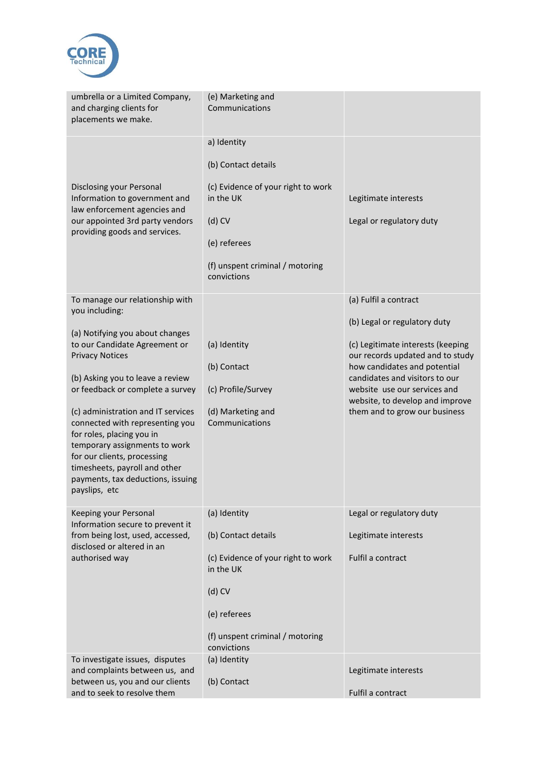

| umbrella or a Limited Company,<br>and charging clients for<br>placements we make.                                                                                                                                                                                                                                                                                                                                                                                                    | (e) Marketing and<br>Communications                                                                                                                                  |                                                                                                                                                                                                                                                                                                      |
|--------------------------------------------------------------------------------------------------------------------------------------------------------------------------------------------------------------------------------------------------------------------------------------------------------------------------------------------------------------------------------------------------------------------------------------------------------------------------------------|----------------------------------------------------------------------------------------------------------------------------------------------------------------------|------------------------------------------------------------------------------------------------------------------------------------------------------------------------------------------------------------------------------------------------------------------------------------------------------|
| Disclosing your Personal<br>Information to government and<br>law enforcement agencies and<br>our appointed 3rd party vendors<br>providing goods and services.                                                                                                                                                                                                                                                                                                                        | a) Identity<br>(b) Contact details<br>(c) Evidence of your right to work<br>in the UK<br>$(d)$ CV<br>(e) referees<br>(f) unspent criminal / motoring<br>convictions  | Legitimate interests<br>Legal or regulatory duty                                                                                                                                                                                                                                                     |
| To manage our relationship with<br>you including:<br>(a) Notifying you about changes<br>to our Candidate Agreement or<br><b>Privacy Notices</b><br>(b) Asking you to leave a review<br>or feedback or complete a survey<br>(c) administration and IT services<br>connected with representing you<br>for roles, placing you in<br>temporary assignments to work<br>for our clients, processing<br>timesheets, payroll and other<br>payments, tax deductions, issuing<br>payslips, etc | (a) Identity<br>(b) Contact<br>(c) Profile/Survey<br>(d) Marketing and<br>Communications                                                                             | (a) Fulfil a contract<br>(b) Legal or regulatory duty<br>(c) Legitimate interests (keeping<br>our records updated and to study<br>how candidates and potential<br>candidates and visitors to our<br>website use our services and<br>website, to develop and improve<br>them and to grow our business |
| Keeping your Personal<br>Information secure to prevent it<br>from being lost, used, accessed,<br>disclosed or altered in an<br>authorised way                                                                                                                                                                                                                                                                                                                                        | (a) Identity<br>(b) Contact details<br>(c) Evidence of your right to work<br>in the UK<br>$(d)$ CV<br>(e) referees<br>(f) unspent criminal / motoring<br>convictions | Legal or regulatory duty<br>Legitimate interests<br>Fulfil a contract                                                                                                                                                                                                                                |
| To investigate issues, disputes<br>and complaints between us, and<br>between us, you and our clients<br>and to seek to resolve them                                                                                                                                                                                                                                                                                                                                                  | (a) Identity<br>(b) Contact                                                                                                                                          | Legitimate interests<br>Fulfil a contract                                                                                                                                                                                                                                                            |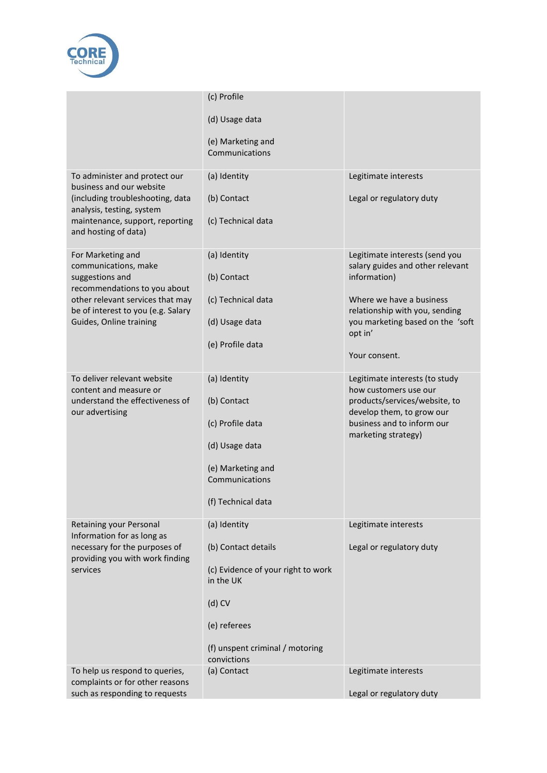

|                                                                        | (c) Profile                                     |                                                                    |
|------------------------------------------------------------------------|-------------------------------------------------|--------------------------------------------------------------------|
|                                                                        | (d) Usage data                                  |                                                                    |
|                                                                        | (e) Marketing and<br>Communications             |                                                                    |
| To administer and protect our<br>business and our website              | (a) Identity                                    | Legitimate interests                                               |
| (including troubleshooting, data<br>analysis, testing, system          | (b) Contact                                     | Legal or regulatory duty                                           |
| maintenance, support, reporting<br>and hosting of data)                | (c) Technical data                              |                                                                    |
| For Marketing and<br>communications, make                              | (a) Identity                                    | Legitimate interests (send you<br>salary guides and other relevant |
| suggestions and<br>recommendations to you about                        | (b) Contact                                     | information)                                                       |
| other relevant services that may<br>be of interest to you (e.g. Salary | (c) Technical data                              | Where we have a business<br>relationship with you, sending         |
| Guides, Online training                                                | (d) Usage data                                  | you marketing based on the 'soft<br>opt in'                        |
|                                                                        | (e) Profile data                                | Your consent.                                                      |
|                                                                        |                                                 |                                                                    |
| To deliver relevant website<br>content and measure or                  | (a) Identity                                    | Legitimate interests (to study<br>how customers use our            |
| understand the effectiveness of<br>our advertising                     | (b) Contact                                     | products/services/website, to<br>develop them, to grow our         |
|                                                                        | (c) Profile data                                | business and to inform our<br>marketing strategy)                  |
|                                                                        | (d) Usage data                                  |                                                                    |
|                                                                        | (e) Marketing and<br>Communications             |                                                                    |
|                                                                        | (f) Technical data                              |                                                                    |
|                                                                        |                                                 |                                                                    |
| Retaining your Personal<br>Information for as long as                  | (a) Identity                                    | Legitimate interests                                               |
| necessary for the purposes of<br>providing you with work finding       | (b) Contact details                             | Legal or regulatory duty                                           |
| services                                                               | (c) Evidence of your right to work<br>in the UK |                                                                    |
|                                                                        | $(d)$ CV                                        |                                                                    |
|                                                                        | (e) referees                                    |                                                                    |
|                                                                        | (f) unspent criminal / motoring<br>convictions  |                                                                    |
| To help us respond to queries,<br>complaints or for other reasons      | (a) Contact                                     | Legitimate interests                                               |
| such as responding to requests                                         |                                                 | Legal or regulatory duty                                           |